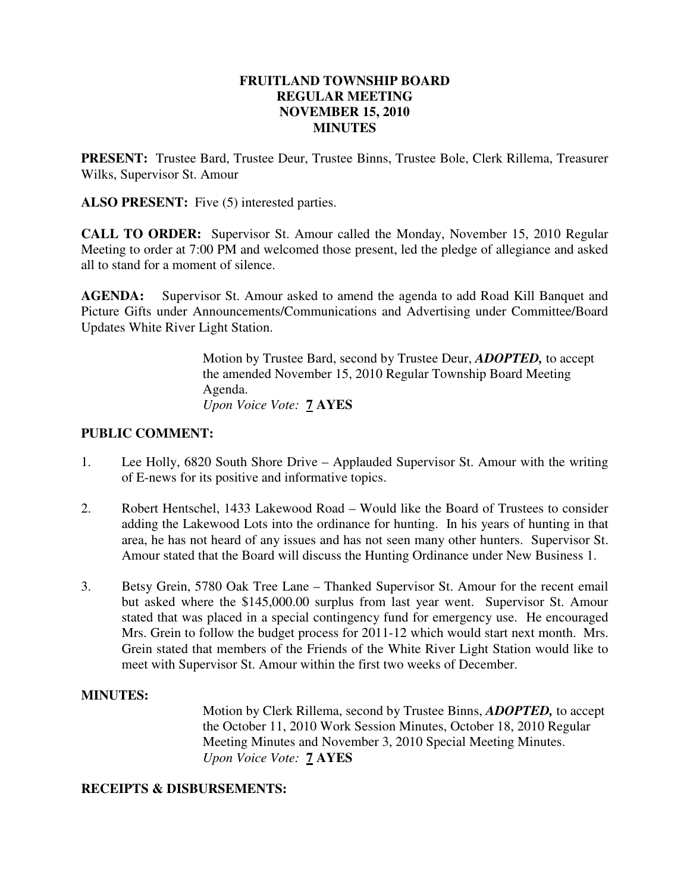## **FRUITLAND TOWNSHIP BOARD REGULAR MEETING NOVEMBER 15, 2010 MINUTES**

**PRESENT:** Trustee Bard, Trustee Deur, Trustee Binns, Trustee Bole, Clerk Rillema, Treasurer Wilks, Supervisor St. Amour

ALSO PRESENT: Five (5) interested parties.

**CALL TO ORDER:** Supervisor St. Amour called the Monday, November 15, 2010 Regular Meeting to order at 7:00 PM and welcomed those present, led the pledge of allegiance and asked all to stand for a moment of silence.

**AGENDA:** Supervisor St. Amour asked to amend the agenda to add Road Kill Banquet and Picture Gifts under Announcements/Communications and Advertising under Committee/Board Updates White River Light Station.

> Motion by Trustee Bard, second by Trustee Deur, *ADOPTED,* to accept the amended November 15, 2010 Regular Township Board Meeting Agenda. *Upon Voice Vote:* **7 AYES**

## **PUBLIC COMMENT:**

- 1. Lee Holly, 6820 South Shore Drive Applauded Supervisor St. Amour with the writing of E-news for its positive and informative topics.
- 2. Robert Hentschel, 1433 Lakewood Road Would like the Board of Trustees to consider adding the Lakewood Lots into the ordinance for hunting. In his years of hunting in that area, he has not heard of any issues and has not seen many other hunters. Supervisor St. Amour stated that the Board will discuss the Hunting Ordinance under New Business 1.
- 3. Betsy Grein, 5780 Oak Tree Lane Thanked Supervisor St. Amour for the recent email but asked where the \$145,000.00 surplus from last year went. Supervisor St. Amour stated that was placed in a special contingency fund for emergency use. He encouraged Mrs. Grein to follow the budget process for 2011-12 which would start next month. Mrs. Grein stated that members of the Friends of the White River Light Station would like to meet with Supervisor St. Amour within the first two weeks of December.

## **MINUTES:**

Motion by Clerk Rillema, second by Trustee Binns, *ADOPTED,* to accept the October 11, 2010 Work Session Minutes, October 18, 2010 Regular Meeting Minutes and November 3, 2010 Special Meeting Minutes. *Upon Voice Vote:* **7 AYES** 

## **RECEIPTS & DISBURSEMENTS:**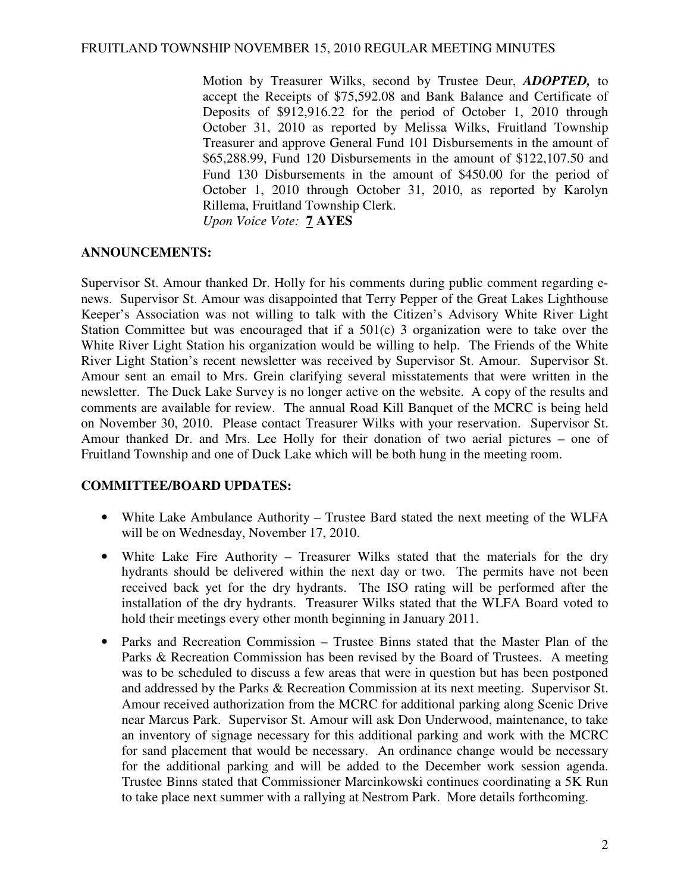Motion by Treasurer Wilks, second by Trustee Deur, *ADOPTED,* to accept the Receipts of \$75,592.08 and Bank Balance and Certificate of Deposits of \$912,916.22 for the period of October 1, 2010 through October 31, 2010 as reported by Melissa Wilks, Fruitland Township Treasurer and approve General Fund 101 Disbursements in the amount of \$65,288.99, Fund 120 Disbursements in the amount of \$122,107.50 and Fund 130 Disbursements in the amount of \$450.00 for the period of October 1, 2010 through October 31, 2010, as reported by Karolyn Rillema, Fruitland Township Clerk. *Upon Voice Vote:* **7 AYES** 

#### **ANNOUNCEMENTS:**

Supervisor St. Amour thanked Dr. Holly for his comments during public comment regarding enews. Supervisor St. Amour was disappointed that Terry Pepper of the Great Lakes Lighthouse Keeper's Association was not willing to talk with the Citizen's Advisory White River Light Station Committee but was encouraged that if a 501(c) 3 organization were to take over the White River Light Station his organization would be willing to help. The Friends of the White River Light Station's recent newsletter was received by Supervisor St. Amour. Supervisor St. Amour sent an email to Mrs. Grein clarifying several misstatements that were written in the newsletter. The Duck Lake Survey is no longer active on the website. A copy of the results and comments are available for review. The annual Road Kill Banquet of the MCRC is being held on November 30, 2010. Please contact Treasurer Wilks with your reservation. Supervisor St. Amour thanked Dr. and Mrs. Lee Holly for their donation of two aerial pictures – one of Fruitland Township and one of Duck Lake which will be both hung in the meeting room.

## **COMMITTEE/BOARD UPDATES:**

- White Lake Ambulance Authority Trustee Bard stated the next meeting of the WLFA will be on Wednesday, November 17, 2010.
- White Lake Fire Authority Treasurer Wilks stated that the materials for the dry hydrants should be delivered within the next day or two. The permits have not been received back yet for the dry hydrants. The ISO rating will be performed after the installation of the dry hydrants. Treasurer Wilks stated that the WLFA Board voted to hold their meetings every other month beginning in January 2011.
- Parks and Recreation Commission Trustee Binns stated that the Master Plan of the Parks & Recreation Commission has been revised by the Board of Trustees. A meeting was to be scheduled to discuss a few areas that were in question but has been postponed and addressed by the Parks & Recreation Commission at its next meeting. Supervisor St. Amour received authorization from the MCRC for additional parking along Scenic Drive near Marcus Park. Supervisor St. Amour will ask Don Underwood, maintenance, to take an inventory of signage necessary for this additional parking and work with the MCRC for sand placement that would be necessary. An ordinance change would be necessary for the additional parking and will be added to the December work session agenda. Trustee Binns stated that Commissioner Marcinkowski continues coordinating a 5K Run to take place next summer with a rallying at Nestrom Park. More details forthcoming.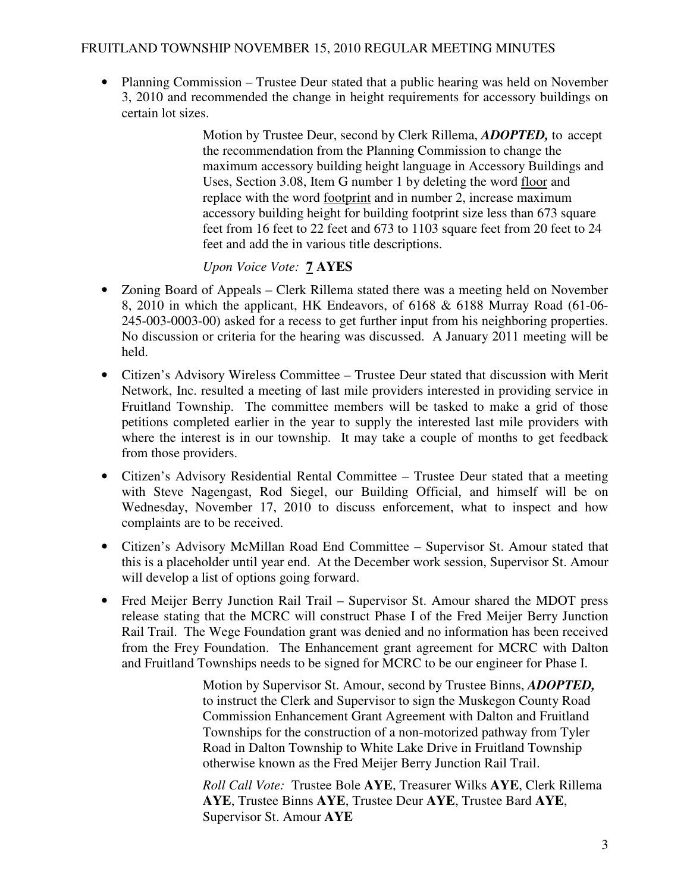• Planning Commission – Trustee Deur stated that a public hearing was held on November 3, 2010 and recommended the change in height requirements for accessory buildings on certain lot sizes.

> Motion by Trustee Deur, second by Clerk Rillema, *ADOPTED,* to accept the recommendation from the Planning Commission to change the maximum accessory building height language in Accessory Buildings and Uses, Section 3.08, Item G number 1 by deleting the word floor and replace with the word footprint and in number 2, increase maximum accessory building height for building footprint size less than 673 square feet from 16 feet to 22 feet and 673 to 1103 square feet from 20 feet to 24 feet and add the in various title descriptions.

# *Upon Voice Vote:* **7 AYES**

- Zoning Board of Appeals Clerk Rillema stated there was a meeting held on November 8, 2010 in which the applicant, HK Endeavors, of 6168 & 6188 Murray Road (61-06- 245-003-0003-00) asked for a recess to get further input from his neighboring properties. No discussion or criteria for the hearing was discussed. A January 2011 meeting will be held.
- Citizen's Advisory Wireless Committee Trustee Deur stated that discussion with Merit Network, Inc. resulted a meeting of last mile providers interested in providing service in Fruitland Township. The committee members will be tasked to make a grid of those petitions completed earlier in the year to supply the interested last mile providers with where the interest is in our township. It may take a couple of months to get feedback from those providers.
- Citizen's Advisory Residential Rental Committee Trustee Deur stated that a meeting with Steve Nagengast, Rod Siegel, our Building Official, and himself will be on Wednesday, November 17, 2010 to discuss enforcement, what to inspect and how complaints are to be received.
- Citizen's Advisory McMillan Road End Committee Supervisor St. Amour stated that this is a placeholder until year end. At the December work session, Supervisor St. Amour will develop a list of options going forward.
- Fred Meijer Berry Junction Rail Trail Supervisor St. Amour shared the MDOT press release stating that the MCRC will construct Phase I of the Fred Meijer Berry Junction Rail Trail. The Wege Foundation grant was denied and no information has been received from the Frey Foundation. The Enhancement grant agreement for MCRC with Dalton and Fruitland Townships needs to be signed for MCRC to be our engineer for Phase I.

 Motion by Supervisor St. Amour, second by Trustee Binns, *ADOPTED,* to instruct the Clerk and Supervisor to sign the Muskegon County Road Commission Enhancement Grant Agreement with Dalton and Fruitland Townships for the construction of a non-motorized pathway from Tyler Road in Dalton Township to White Lake Drive in Fruitland Township otherwise known as the Fred Meijer Berry Junction Rail Trail.

 *Roll Call Vote:* Trustee Bole **AYE**, Treasurer Wilks **AYE**, Clerk Rillema **AYE**, Trustee Binns **AYE**, Trustee Deur **AYE**, Trustee Bard **AYE**, Supervisor St. Amour **AYE**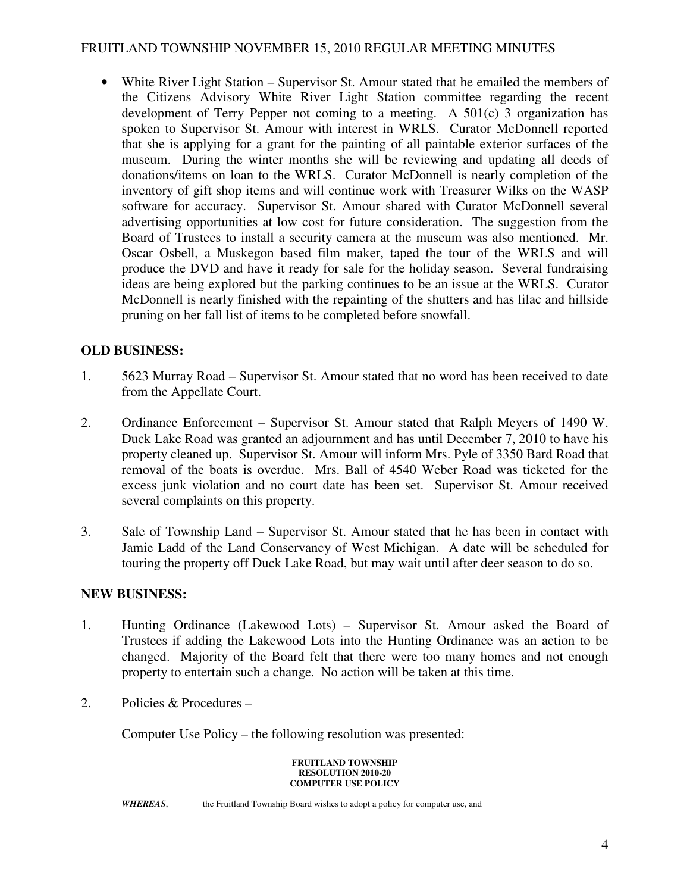• White River Light Station – Supervisor St. Amour stated that he emailed the members of the Citizens Advisory White River Light Station committee regarding the recent development of Terry Pepper not coming to a meeting. A 501(c) 3 organization has spoken to Supervisor St. Amour with interest in WRLS. Curator McDonnell reported that she is applying for a grant for the painting of all paintable exterior surfaces of the museum. During the winter months she will be reviewing and updating all deeds of donations/items on loan to the WRLS. Curator McDonnell is nearly completion of the inventory of gift shop items and will continue work with Treasurer Wilks on the WASP software for accuracy. Supervisor St. Amour shared with Curator McDonnell several advertising opportunities at low cost for future consideration. The suggestion from the Board of Trustees to install a security camera at the museum was also mentioned. Mr. Oscar Osbell, a Muskegon based film maker, taped the tour of the WRLS and will produce the DVD and have it ready for sale for the holiday season. Several fundraising ideas are being explored but the parking continues to be an issue at the WRLS. Curator McDonnell is nearly finished with the repainting of the shutters and has lilac and hillside pruning on her fall list of items to be completed before snowfall.

# **OLD BUSINESS:**

- 1. 5623 Murray Road Supervisor St. Amour stated that no word has been received to date from the Appellate Court.
- 2. Ordinance Enforcement Supervisor St. Amour stated that Ralph Meyers of 1490 W. Duck Lake Road was granted an adjournment and has until December 7, 2010 to have his property cleaned up. Supervisor St. Amour will inform Mrs. Pyle of 3350 Bard Road that removal of the boats is overdue. Mrs. Ball of 4540 Weber Road was ticketed for the excess junk violation and no court date has been set. Supervisor St. Amour received several complaints on this property.
- 3. Sale of Township Land Supervisor St. Amour stated that he has been in contact with Jamie Ladd of the Land Conservancy of West Michigan. A date will be scheduled for touring the property off Duck Lake Road, but may wait until after deer season to do so.

## **NEW BUSINESS:**

- 1. Hunting Ordinance (Lakewood Lots) Supervisor St. Amour asked the Board of Trustees if adding the Lakewood Lots into the Hunting Ordinance was an action to be changed. Majority of the Board felt that there were too many homes and not enough property to entertain such a change. No action will be taken at this time.
- 2. Policies & Procedures –

Computer Use Policy – the following resolution was presented:

#### **FRUITLAND TOWNSHIP RESOLUTION 2010-20 COMPUTER USE POLICY**

*WHEREAS*, the Fruitland Township Board wishes to adopt a policy for computer use, and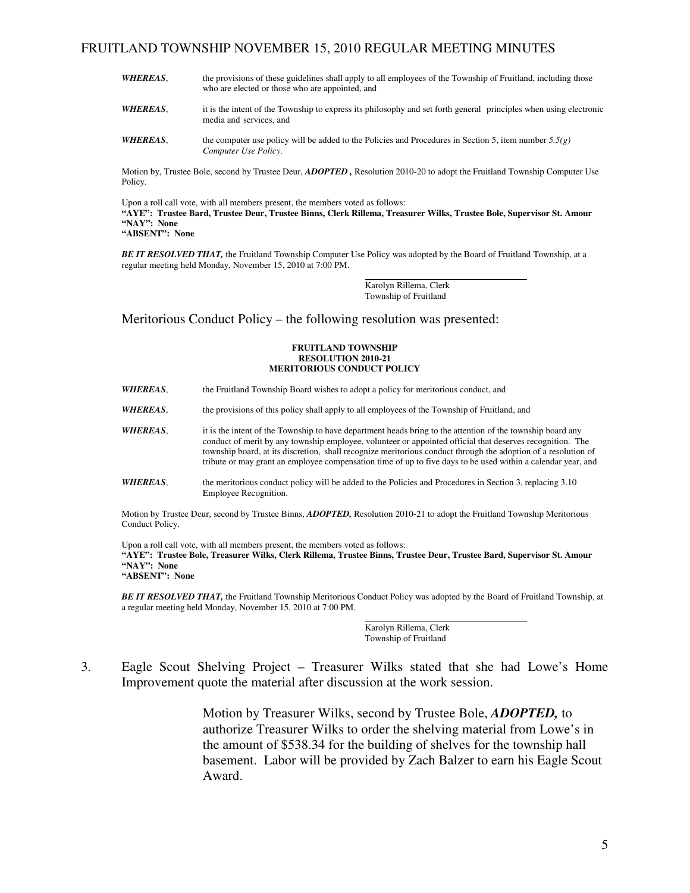- *WHEREAS*, the provisions of these guidelines shall apply to all employees of the Township of Fruitland, including those who are elected or those who are appointed, and
- **WHEREAS**, it is the intent of the Township to express its philosophy and set forth general principles when using electronic media and services, and
- *WHEREAS*, the computer use policy will be added to the Policies and Procedures in Section 5, item number 5.5(g)  *Computer Use Policy.*

 Motion by, Trustee Bole, second by Trustee Deur, *ADOPTED ,* Resolution 2010-20 to adopt the Fruitland Township Computer Use Policy.

 Upon a roll call vote, with all members present, the members voted as follows:  **"AYE": Trustee Bard, Trustee Deur, Trustee Binns, Clerk Rillema, Treasurer Wilks, Trustee Bole, Supervisor St. Amour "NAY": None "ABSENT": None**

 *BE IT RESOLVED THAT,* the Fruitland Township Computer Use Policy was adopted by the Board of Fruitland Township, at a regular meeting held Monday, November 15, 2010 at 7:00 PM.

> Karolyn Rillema, Clerk Township of Fruitland

Meritorious Conduct Policy – the following resolution was presented:

#### **FRUITLAND TOWNSHIP RESOLUTION 2010-21 MERITORIOUS CONDUCT POLICY**

- **WHEREAS**, the Fruitland Township Board wishes to adopt a policy for meritorious conduct, and
- *WHEREAS*, the provisions of this policy shall apply to all employees of the Township of Fruitland, and
- *WHEREAS*, it is the intent of the Township to have department heads bring to the attention of the township board any conduct of merit by any township employee, volunteer or appointed official that deserves recognition. The township board, at its discretion, shall recognize meritorious conduct through the adoption of a resolution of tribute or may grant an employee compensation time of up to five days to be used within a calendar year, and
- *WHEREAS*, the meritorious conduct policy will be added to the Policies and Procedures in Section 3, replacing 3.10 Employee Recognition.

 Motion by Trustee Deur, second by Trustee Binns, *ADOPTED,* Resolution 2010-21 to adopt the Fruitland Township Meritorious Conduct Policy.

 Upon a roll call vote, with all members present, the members voted as follows:  **"AYE": Trustee Bole, Treasurer Wilks, Clerk Rillema, Trustee Binns, Trustee Deur, Trustee Bard, Supervisor St. Amour "NAY": None "ABSENT": None**

 *BE IT RESOLVED THAT,* the Fruitland Township Meritorious Conduct Policy was adopted by the Board of Fruitland Township, at a regular meeting held Monday, November 15, 2010 at 7:00 PM.

> Karolyn Rillema, Clerk Township of Fruitland

3. Eagle Scout Shelving Project – Treasurer Wilks stated that she had Lowe's Home Improvement quote the material after discussion at the work session.

> Motion by Treasurer Wilks, second by Trustee Bole, *ADOPTED,* to authorize Treasurer Wilks to order the shelving material from Lowe's in the amount of \$538.34 for the building of shelves for the township hall basement. Labor will be provided by Zach Balzer to earn his Eagle Scout Award.